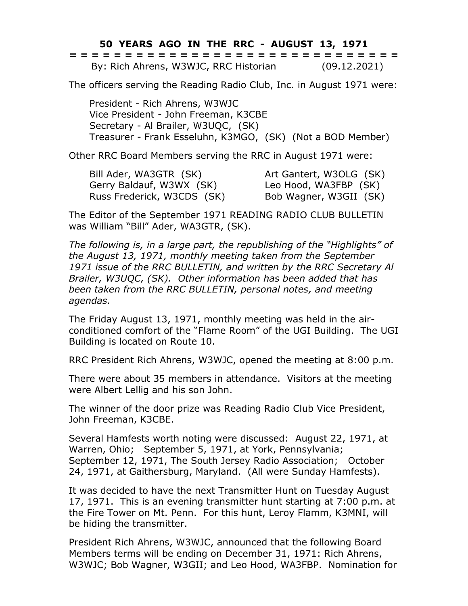## **50 YEARS AGO IN THE RRC - AUGUST 13, 1971**

|  | ------------------------------<br>------------------------------ |  |  |  |  |  |  |  |  |  |  |  |  |              |  |
|--|------------------------------------------------------------------|--|--|--|--|--|--|--|--|--|--|--|--|--------------|--|
|  | By: Rich Ahrens, W3WJC, RRC Historian                            |  |  |  |  |  |  |  |  |  |  |  |  | (09.12.2021) |  |

The officers serving the Reading Radio Club, Inc. in August 1971 were:

President - Rich Ahrens, W3WJC Vice President - John Freeman, K3CBE Secretary - Al Brailer, W3UQC, (SK) Treasurer - Frank Esseluhn, K3MGO, (SK) (Not a BOD Member)

Other RRC Board Members serving the RRC in August 1971 were:

| Bill Ader, WA3GTR (SK)     | Art Gantert, W3OLG (SK) |
|----------------------------|-------------------------|
| Gerry Baldauf, W3WX (SK)   | Leo Hood, WA3FBP (SK)   |
| Russ Frederick, W3CDS (SK) | Bob Wagner, W3GII (SK)  |

The Editor of the September 1971 READING RADIO CLUB BULLETIN was William "Bill" Ader, WA3GTR, (SK).

*The following is, in a large part, the republishing of the "Highlights" of the August 13, 1971, monthly meeting taken from the September 1971 issue of the RRC BULLETIN, and written by the RRC Secretary Al Brailer, W3UQC, (SK). Other information has been added that has been taken from the RRC BULLETIN, personal notes, and meeting agendas.*

The Friday August 13, 1971, monthly meeting was held in the airconditioned comfort of the "Flame Room" of the UGI Building. The UGI Building is located on Route 10.

RRC President Rich Ahrens, W3WJC, opened the meeting at 8:00 p.m.

There were about 35 members in attendance. Visitors at the meeting were Albert Lellig and his son John.

The winner of the door prize was Reading Radio Club Vice President, John Freeman, K3CBE.

Several Hamfests worth noting were discussed: August 22, 1971, at Warren, Ohio; September 5, 1971, at York, Pennsylvania; September 12, 1971, The South Jersey Radio Association; October 24, 1971, at Gaithersburg, Maryland. (All were Sunday Hamfests).

It was decided to have the next Transmitter Hunt on Tuesday August 17, 1971. This is an evening transmitter hunt starting at 7:00 p.m. at the Fire Tower on Mt. Penn. For this hunt, Leroy Flamm, K3MNI, will be hiding the transmitter.

President Rich Ahrens, W3WJC, announced that the following Board Members terms will be ending on December 31, 1971: Rich Ahrens, W3WJC; Bob Wagner, W3GII; and Leo Hood, WA3FBP. Nomination for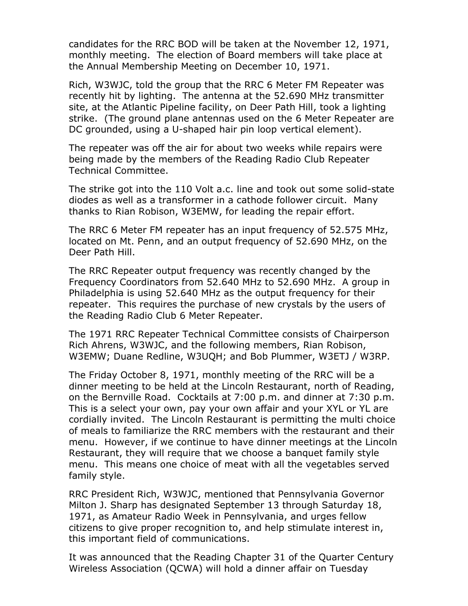candidates for the RRC BOD will be taken at the November 12, 1971, monthly meeting. The election of Board members will take place at the Annual Membership Meeting on December 10, 1971.

Rich, W3WJC, told the group that the RRC 6 Meter FM Repeater was recently hit by lighting. The antenna at the 52.690 MHz transmitter site, at the Atlantic Pipeline facility, on Deer Path Hill, took a lighting strike. (The ground plane antennas used on the 6 Meter Repeater are DC grounded, using a U-shaped hair pin loop vertical element).

The repeater was off the air for about two weeks while repairs were being made by the members of the Reading Radio Club Repeater Technical Committee.

The strike got into the 110 Volt a.c. line and took out some solid-state diodes as well as a transformer in a cathode follower circuit. Many thanks to Rian Robison, W3EMW, for leading the repair effort.

The RRC 6 Meter FM repeater has an input frequency of 52.575 MHz, located on Mt. Penn, and an output frequency of 52.690 MHz, on the Deer Path Hill.

The RRC Repeater output frequency was recently changed by the Frequency Coordinators from 52.640 MHz to 52.690 MHz. A group in Philadelphia is using 52.640 MHz as the output frequency for their repeater. This requires the purchase of new crystals by the users of the Reading Radio Club 6 Meter Repeater.

The 1971 RRC Repeater Technical Committee consists of Chairperson Rich Ahrens, W3WJC, and the following members, Rian Robison, W3EMW; Duane Redline, W3UQH; and Bob Plummer, W3ETJ / W3RP.

The Friday October 8, 1971, monthly meeting of the RRC will be a dinner meeting to be held at the Lincoln Restaurant, north of Reading, on the Bernville Road. Cocktails at 7:00 p.m. and dinner at 7:30 p.m. This is a select your own, pay your own affair and your XYL or YL are cordially invited. The Lincoln Restaurant is permitting the multi choice of meals to familiarize the RRC members with the restaurant and their menu. However, if we continue to have dinner meetings at the Lincoln Restaurant, they will require that we choose a banquet family style menu. This means one choice of meat with all the vegetables served family style.

RRC President Rich, W3WJC, mentioned that Pennsylvania Governor Milton J. Sharp has designated September 13 through Saturday 18, 1971, as Amateur Radio Week in Pennsylvania, and urges fellow citizens to give proper recognition to, and help stimulate interest in, this important field of communications.

It was announced that the Reading Chapter 31 of the Quarter Century Wireless Association (QCWA) will hold a dinner affair on Tuesday